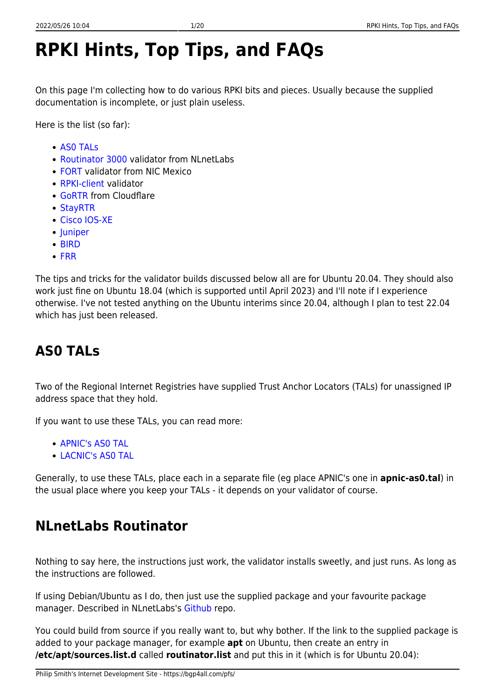# **RPKI Hints, Top Tips, and FAQs**

On this page I'm collecting how to do various RPKI bits and pieces. Usually because the supplied documentation is incomplete, or just plain useless.

Here is the list (so far):

- ASO TALS
- [Routinator 3000](#page-0-1) validator from NLnetLabs
- [FORT](#page-1-0) validator from NIC Mexico
- [RPKI-client](#page-3-0) validator
- [GoRTR](#page-5-0) from Cloudflare
- [StayRTR](#page-9-0)
- [Cisco IOS-XE](#page-12-0)
- luniper
- [BIRD](#page-15-0)
- [FRR](#page-17-0)

The tips and tricks for the validator builds discussed below all are for Ubuntu 20.04. They should also work just fine on Ubuntu 18.04 (which is supported until April 2023) and I'll note if I experience otherwise. I've not tested anything on the Ubuntu interims since 20.04, although I plan to test 22.04 which has just been released.

# <span id="page-0-0"></span>**AS0 TALs**

Two of the Regional Internet Registries have supplied Trust Anchor Locators (TALs) for unassigned IP address space that they hold.

If you want to use these TALs, you can read more:

- APNIC's ASO TAL
- [LACNIC's AS0 TAL](https://www.lacnic.net/4984/2/lacnic/rpki-rpki-trust-anchor)

Generally, to use these TALs, place each in a separate file (eg place APNIC's one in **apnic-as0.tal**) in the usual place where you keep your TALs - it depends on your validator of course.

# <span id="page-0-1"></span>**NLnetLabs Routinator**

Nothing to say here, the instructions just work, the validator installs sweetly, and just runs. As long as the instructions are followed.

If using Debian/Ubuntu as I do, then just use the supplied package and your favourite package manager. Described in NLnetLabs's [Github](https://github.com/NLnetLabs/routinator#quick-start-with-debian-and-ubuntu-packages) repo.

You could build from source if you really want to, but why bother. If the link to the supplied package is added to your package manager, for example **apt** on Ubuntu, then create an entry in **/etc/apt/sources.list.d** called **routinator.list** and put this in it (which is for Ubuntu 20.04):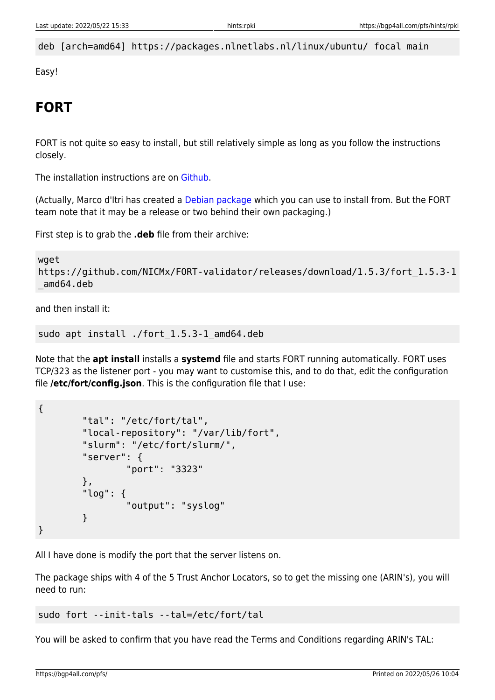deb [arch=amd64] https://packages.nlnetlabs.nl/linux/ubuntu/ focal main

Easy!

# <span id="page-1-0"></span>**FORT**

FORT is not quite so easy to install, but still relatively simple as long as you follow the instructions closely.

The installation instructions are on [Github.](https://nicmx.github.io/FORT-validator/installation.html)

(Actually, Marco d'Itri has created a [Debian package](https://tracker.debian.org/pkg/fort-validator) which you can use to install from. But the FORT team note that it may be a release or two behind their own packaging.)

First step is to grab the **.deb** file from their archive:

```
wget
https://github.com/NICMx/FORT-validator/releases/download/1.5.3/fort_1.5.3-1
_amd64.deb
```
and then install it:

```
sudo apt install ./fort 1.5.3-1 amd64.deb
```
Note that the **apt install** installs a **systemd** file and starts FORT running automatically. FORT uses TCP/323 as the listener port - you may want to customise this, and to do that, edit the configuration file **/etc/fort/config.json**. This is the configuration file that I use:

```
{
          "tal": "/etc/fort/tal",
          "local-repository": "/var/lib/fort",
          "slurm": "/etc/fort/slurm/",
          "server": {
                   "port": "3323"
          },
          "log": {
                   "output": "syslog"
          }
}
```
All I have done is modify the port that the server listens on.

The package ships with 4 of the 5 Trust Anchor Locators, so to get the missing one (ARIN's), you will need to run:

```
sudo fort --init-tals --tal=/etc/fort/tal
```
You will be asked to confirm that you have read the Terms and Conditions regarding ARIN's TAL: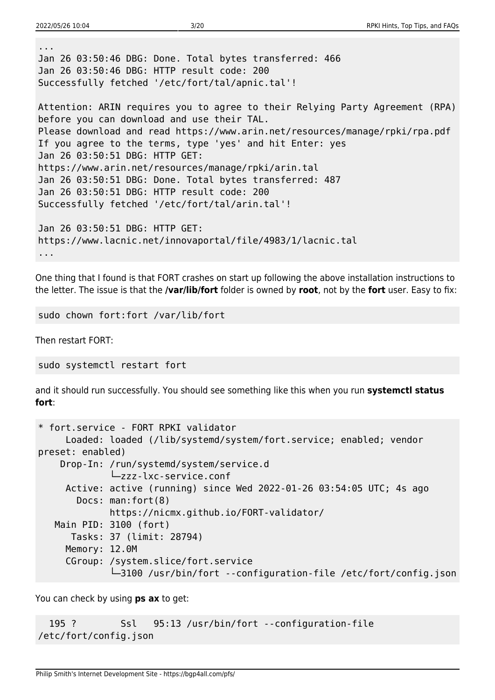```
...
Jan 26 03:50:46 DBG: Done. Total bytes transferred: 466
Jan 26 03:50:46 DBG: HTTP result code: 200
Successfully fetched '/etc/fort/tal/apnic.tal'!
Attention: ARIN requires you to agree to their Relying Party Agreement (RPA)
before you can download and use their TAL.
Please download and read https://www.arin.net/resources/manage/rpki/rpa.pdf
If you agree to the terms, type 'yes' and hit Enter: yes
Jan 26 03:50:51 DBG: HTTP GET:
https://www.arin.net/resources/manage/rpki/arin.tal
Jan 26 03:50:51 DBG: Done. Total bytes transferred: 487
Jan 26 03:50:51 DBG: HTTP result code: 200
Successfully fetched '/etc/fort/tal/arin.tal'!
Jan 26 03:50:51 DBG: HTTP GET:
https://www.lacnic.net/innovaportal/file/4983/1/lacnic.tal
...
```
One thing that I found is that FORT crashes on start up following the above installation instructions to the letter. The issue is that the **/var/lib/fort** folder is owned by **root**, not by the **fort** user. Easy to fix:

sudo chown fort:fort /var/lib/fort

Then restart FORT:

```
sudo systemctl restart fort
```
and it should run successfully. You should see something like this when you run **systemctl status fort**:

```
* fort.service - FORT RPKI validator
      Loaded: loaded (/lib/systemd/system/fort.service; enabled; vendor
preset: enabled)
     Drop-In: /run/systemd/system/service.d
              └─zzz-lxc-service.conf
      Active: active (running) since Wed 2022-01-26 03:54:05 UTC; 4s ago
        Docs: man:fort(8)
              https://nicmx.github.io/FORT-validator/
   Main PID: 3100 (fort)
       Tasks: 37 (limit: 28794)
     Memory: 12.0M
      CGroup: /system.slice/fort.service
              └─3100 /usr/bin/fort --configuration-file /etc/fort/config.json
```
You can check by using **ps ax** to get:

 195 ? Ssl 95:13 /usr/bin/fort --configuration-file /etc/fort/config.json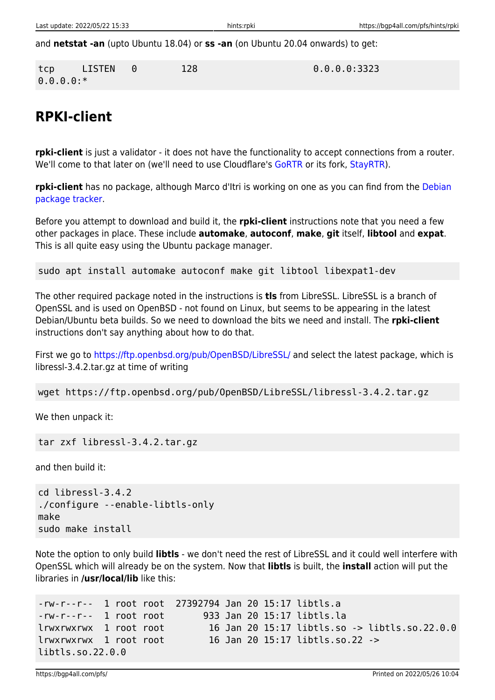and **netstat -an** (upto Ubuntu 18.04) or **ss -an** (on Ubuntu 20.04 onwards) to get:

tcp LISTEN 0 128 0.0.0.0:3323 0.0.0.0:\*

# <span id="page-3-0"></span>**RPKI-client**

**rpki-client** is just a validator - it does not have the functionality to accept connections from a router. We'll come to that later on (we'll need to use Cloudflare's [GoRTR](#page-5-0) or its fork, [StayRTR](#page-9-0)).

**rpki-client** has no package, although Marco d'Itri is working on one as you can find from the [Debian](https://packages.debian.org/sid/rpki-client) [package tracker.](https://packages.debian.org/sid/rpki-client)

Before you attempt to download and build it, the **rpki-client** instructions note that you need a few other packages in place. These include **automake**, **autoconf**, **make**, **git** itself, **libtool** and **expat**. This is all quite easy using the Ubuntu package manager.

sudo apt install automake autoconf make git libtool libexpat1-dev

The other required package noted in the instructions is **tls** from LibreSSL. LibreSSL is a branch of OpenSSL and is used on OpenBSD - not found on Linux, but seems to be appearing in the latest Debian/Ubuntu beta builds. So we need to download the bits we need and install. The **rpki-client** instructions don't say anything about how to do that.

First we go to<https://ftp.openbsd.org/pub/OpenBSD/LibreSSL/> and select the latest package, which is libressl-3.4.2.tar.gz at time of writing

wget https://ftp.openbsd.org/pub/OpenBSD/LibreSSL/libressl-3.4.2.tar.gz

We then unpack it:

tar zxf libressl-3.4.2.tar.gz

and then build it:

```
cd libressl-3.4.2
./configure --enable-libtls-only
make
sudo make install
```
Note the option to only build **libtls** - we don't need the rest of LibreSSL and it could well interfere with OpenSSL which will already be on the system. Now that **libtls** is built, the **install** action will put the libraries in **/usr/local/lib** like this:

```
-rw-r--r-- 1 root root 27392794 Jan 20 15:17 libtls.a
-rw-r--r-- 1 root root 933 Jan 20 15:17 libtls.la
lrwxrwxrwx 1 root root 16 Jan 20 15:17 libtls.so -> libtls.so.22.0.0
lrwxrwxrwx 1 root root 16 Jan 20 15:17 libtls.so.22 ->
libtls.so.22.0.0
```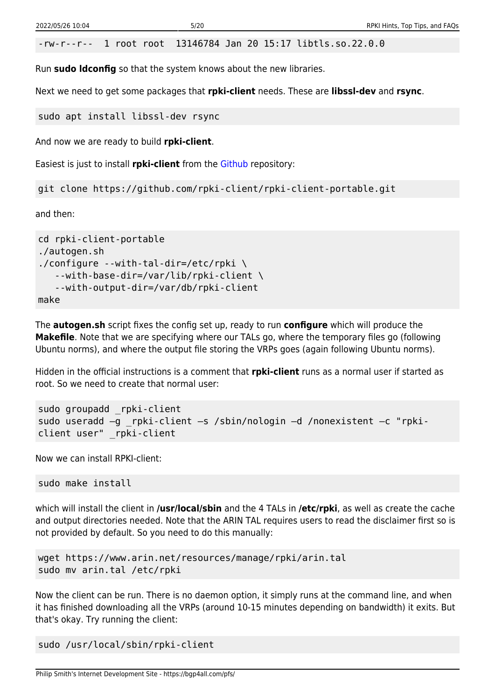-rw-r--r-- 1 root root 13146784 Jan 20 15:17 libtls.so.22.0.0

Run **sudo ldconfig** so that the system knows about the new libraries.

Next we need to get some packages that **rpki-client** needs. These are **libssl-dev** and **rsync**.

```
sudo apt install libssl-dev rsync
```
And now we are ready to build **rpki-client**.

Easiest is just to install **rpki-client** from the [Github](https://github.com/rpki-client/rpki-client-portable) repository:

git clone https://github.com/rpki-client/rpki-client-portable.git

and then:

```
cd rpki-client-portable
./autogen.sh
./configure --with-tal-dir=/etc/rpki \
    --with-base-dir=/var/lib/rpki-client \
    --with-output-dir=/var/db/rpki-client
make
```
The **autogen.sh** script fixes the config set up, ready to run **configure** which will produce the **Makefile**. Note that we are specifying where our TALs go, where the temporary files go (following Ubuntu norms), and where the output file storing the VRPs goes (again following Ubuntu norms).

Hidden in the official instructions is a comment that **rpki-client** runs as a normal user if started as root. So we need to create that normal user:

```
sudo groupadd _rpki-client
sudo useradd –g _rpki-client –s /sbin/nologin –d /nonexistent –c "rpki-
client user" rpki-client
```
Now we can install RPKI-client:

sudo make install

which will install the client in **/usr/local/sbin** and the 4 TALs in **/etc/rpki**, as well as create the cache and output directories needed. Note that the ARIN TAL requires users to read the disclaimer first so is not provided by default. So you need to do this manually:

```
wget https://www.arin.net/resources/manage/rpki/arin.tal
sudo mv arin.tal /etc/rpki
```
Now the client can be run. There is no daemon option, it simply runs at the command line, and when it has finished downloading all the VRPs (around 10-15 minutes depending on bandwidth) it exits. But that's okay. Try running the client:

sudo /usr/local/sbin/rpki-client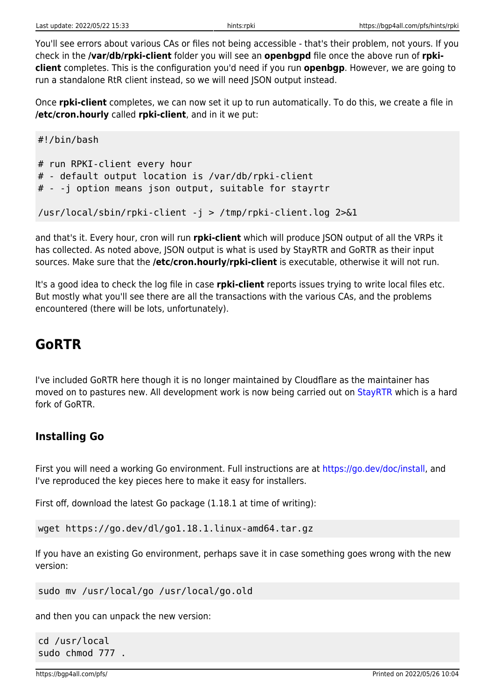You'll see errors about various CAs or files not being accessible - that's their problem, not yours. If you check in the **/var/db/rpki-client** folder you will see an **openbgpd** file once the above run of **rpkiclient** completes. This is the configuration you'd need if you run **openbgp**. However, we are going to run a standalone RtR client instead, so we will need JSON output instead.

Once **rpki-client** completes, we can now set it up to run automatically. To do this, we create a file in **/etc/cron.hourly** called **rpki-client**, and in it we put:

```
#!/bin/bash
# run RPKI-client every hour
# - default output location is /var/db/rpki-client
# - -j option means json output, suitable for stayrtr
/usr/local/sbin/rpki-client -j > /tmp/rpki-client.log 2>&1
```
and that's it. Every hour, cron will run **rpki-client** which will produce JSON output of all the VRPs it has collected. As noted above, JSON output is what is used by StayRTR and GoRTR as their input sources. Make sure that the **/etc/cron.hourly/rpki-client** is executable, otherwise it will not run.

It's a good idea to check the log file in case **rpki-client** reports issues trying to write local files etc. But mostly what you'll see there are all the transactions with the various CAs, and the problems encountered (there will be lots, unfortunately).

### <span id="page-5-0"></span>**GoRTR**

I've included GoRTR here though it is no longer maintained by Cloudflare as the maintainer has moved on to pastures new. All development work is now being carried out on [StayRTR](#page-9-0) which is a hard fork of GoRTR.

### <span id="page-5-1"></span>**Installing Go**

First you will need a working Go environment. Full instructions are at<https://go.dev/doc/install>, and I've reproduced the key pieces here to make it easy for installers.

First off, download the latest Go package (1.18.1 at time of writing):

```
wget https://go.dev/dl/go1.18.1.linux-amd64.tar.gz
```
If you have an existing Go environment, perhaps save it in case something goes wrong with the new version:

```
sudo mv /usr/local/go /usr/local/go.old
```
and then you can unpack the new version:

```
cd /usr/local
sudo chmod 777 .
```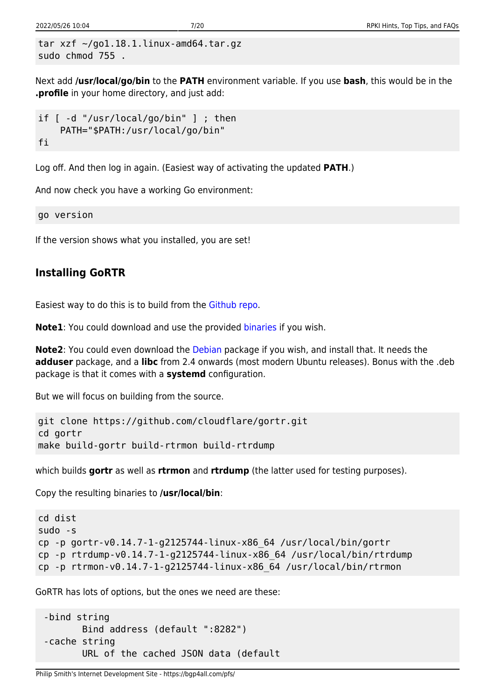```
tar xzf ~/go1.18.1.linux-amd64.tar.gz
sudo chmod 755 .
```
Next add **/usr/local/go/bin** to the **PATH** environment variable. If you use **bash**, this would be in the **.profile** in your home directory, and just add:

```
if [ -d "/usr/local/go/bin" ] ; then
     PATH="$PATH:/usr/local/go/bin"
fi
```
Log off. And then log in again. (Easiest way of activating the updated **PATH**.)

And now check you have a working Go environment:

go version

If the version shows what you installed, you are set!

### **Installing GoRTR**

Easiest way to do this is to build from the [Github repo](https://github.com/cloudflare/gortr).

**Note1**: You could download and use the provided [binaries](https://github.com/cloudflare/gortr/releases) if you wish.

**Note2**: You could even download the [Debian](https://packages.debian.org/sid/amd64/gortr) package if you wish, and install that. It needs the **adduser** package, and a **libc** from 2.4 onwards (most modern Ubuntu releases). Bonus with the .deb package is that it comes with a **systemd** configuration.

But we will focus on building from the source.

```
git clone https://github.com/cloudflare/gortr.git
cd gortr
make build-gortr build-rtrmon build-rtrdump
```
which builds **gortr** as well as **rtrmon** and **rtrdump** (the latter used for testing purposes).

Copy the resulting binaries to **/usr/local/bin**:

```
cd dist
sudo -s
cp -p gortr-v0.14.7-1-g2125744-linux-x86_64 /usr/local/bin/gortr
cp -p rtrdump-v0.14.7-1-g2125744-linux-x86_64 /usr/local/bin/rtrdump
cp -p rtrmon-v0.14.7-1-g2125744-linux-x86_64 /usr/local/bin/rtrmon
```
GoRTR has lots of options, but the ones we need are these:

```
 -bind string
        Bind address (default ":8282")
 -cache string
        URL of the cached JSON data (default
```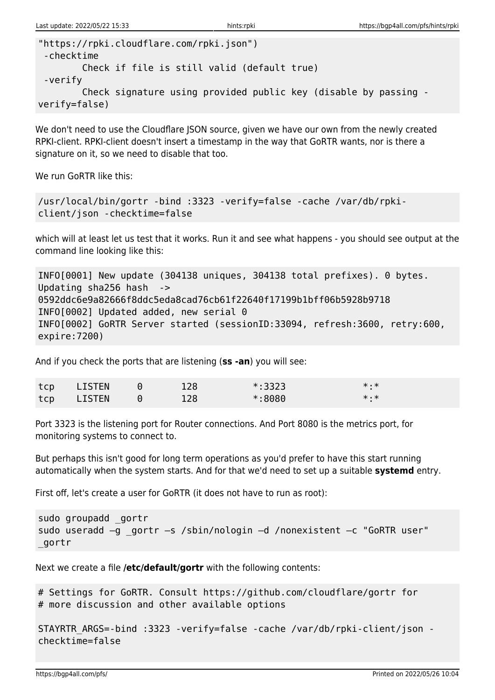```
"https://rpki.cloudflare.com/rpki.json")
  -checktime
         Check if file is still valid (default true)
  -verify
         Check signature using provided public key (disable by passing -
verify=false)
```
We don't need to use the Cloudflare JSON source, given we have our own from the newly created RPKI-client. RPKI-client doesn't insert a timestamp in the way that GoRTR wants, nor is there a signature on it, so we need to disable that too.

We run GoRTR like this:

```
/usr/local/bin/gortr -bind :3323 -verify=false -cache /var/db/rpki-
client/json -checktime=false
```
which will at least let us test that it works. Run it and see what happens - you should see output at the command line looking like this:

```
INFO[0001] New update (304138 uniques, 304138 total prefixes). 0 bytes.
Updating sha256 hash ->
0592ddc6e9a82666f8ddc5eda8cad76cb61f22640f17199b1bff06b5928b9718
INFO[0002] Updated added, new serial 0
INFO[0002] GoRTR Server started (sessionID:33094, refresh:3600, retry:600,
expire:7200)
```
And if you check the ports that are listening (**ss -an**) you will see:

| tcp LISTEN 0 | 128 | $* : 3323$ | * • * |
|--------------|-----|------------|-------|
| tcp LISTEN 0 | 128 | $*$ :8080  | * * * |

Port 3323 is the listening port for Router connections. And Port 8080 is the metrics port, for monitoring systems to connect to.

But perhaps this isn't good for long term operations as you'd prefer to have this start running automatically when the system starts. And for that we'd need to set up a suitable **systemd** entry.

First off, let's create a user for GoRTR (it does not have to run as root):

```
sudo groupadd _gortr
sudo useradd -g gortr -s /sbin/nologin -d /nonexistent -c "GoRTR user"
_gortr
```
Next we create a file **/etc/default/gortr** with the following contents:

```
# Settings for GoRTR. Consult https://github.com/cloudflare/gortr for
# more discussion and other available options
```

```
STAYRTR ARGS=-bind :3323 -verify=false -cache /var/db/rpki-client/json -
checktime=false
```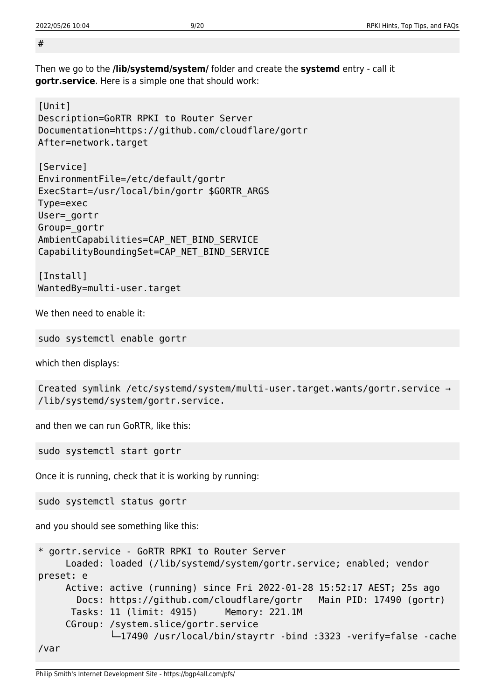#

Then we go to the **/lib/systemd/system/** folder and create the **systemd** entry - call it **gortr.service**. Here is a simple one that should work:

[Unit] Description=GoRTR RPKI to Router Server Documentation=https://github.com/cloudflare/gortr After=network.target

```
[Service]
EnvironmentFile=/etc/default/gortr
ExecStart=/usr/local/bin/gortr $GORTR_ARGS
Type=exec
User=_gortr
Group=_gortr
AmbientCapabilities=CAP_NET_BIND_SERVICE
CapabilityBoundingSet=CAP_NET_BIND_SERVICE
```
[Install] WantedBy=multi-user.target

We then need to enable it:

```
sudo systemctl enable gortr
```
which then displays:

```
Created symlink /etc/systemd/system/multi-user.target.wants/gortr.service →
/lib/systemd/system/gortr.service.
```
and then we can run GoRTR, like this:

sudo systemctl start gortr

Once it is running, check that it is working by running:

```
sudo systemctl status gortr
```
and you should see something like this:

```
* gortr.service - GoRTR RPKI to Router Server
      Loaded: loaded (/lib/systemd/system/gortr.service; enabled; vendor
preset: e
     Active: active (running) since Fri 2022-01-28 15:52:17 AEST; 25s ago
       Docs: https://github.com/cloudflare/gortr Main PID: 17490 (gortr)
      Tasks: 11 (limit: 4915) Memory: 221.1M
     CGroup: /system.slice/gortr.service
              └─17490 /usr/local/bin/stayrtr -bind :3323 -verify=false -cache
/var
```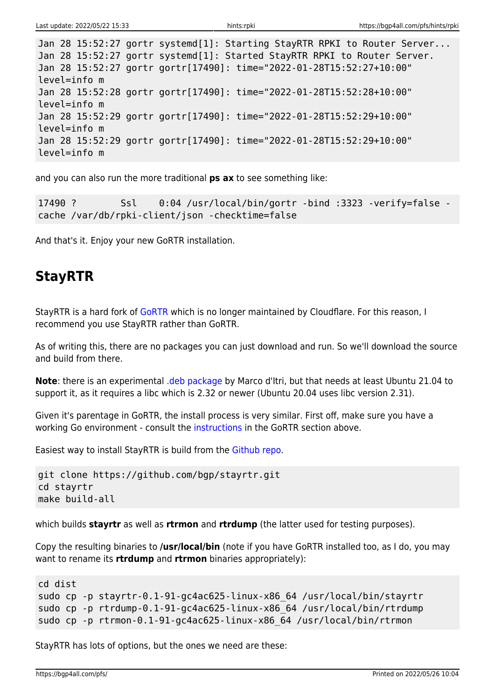Jan 28 15:52:27 gortr systemd[1]: Starting StayRTR RPKI to Router Server... Jan 28 15:52:27 gortr systemd[1]: Started StayRTR RPKI to Router Server. Jan 28 15:52:27 gortr gortr[17490]: time="2022-01-28T15:52:27+10:00" level=info m Jan 28 15:52:28 gortr gortr[17490]: time="2022-01-28T15:52:28+10:00" level=info m Jan 28 15:52:29 gortr gortr[17490]: time="2022-01-28T15:52:29+10:00" level=info m Jan 28 15:52:29 gortr gortr[17490]: time="2022-01-28T15:52:29+10:00" level=info m

and you can also run the more traditional **ps ax** to see something like:

17490 ? Ssl 0:04 /usr/local/bin/gortr -bind :3323 -verify=false cache /var/db/rpki-client/json -checktime=false

And that's it. Enjoy your new GoRTR installation.

### <span id="page-9-0"></span>**StayRTR**

StayRTR is a hard fork of [GoRTR](#page-5-0) which is no longer maintained by Cloudflare. For this reason, I recommend you use StayRTR rather than GoRTR.

As of writing this, there are no packages you can just download and run. So we'll download the source and build from there.

**Note**: there is an experimental [.deb package](https://packages.debian.org/sid/stayrtr) by Marco d'Itri, but that needs at least Ubuntu 21.04 to support it, as it requires a libc which is 2.32 or newer (Ubuntu 20.04 uses libc version 2.31).

Given it's parentage in GoRTR, the install process is very similar. First off, make sure you have a working Go environment - consult the [instructions](#page-5-1) in the GoRTR section above.

Easiest way to install StayRTR is build from the [Github repo](https://github.com/bgp/stayrtr).

git clone https://github.com/bgp/stayrtr.git cd stayrtr make build-all

which builds **stayrtr** as well as **rtrmon** and **rtrdump** (the latter used for testing purposes).

Copy the resulting binaries to **/usr/local/bin** (note if you have GoRTR installed too, as I do, you may want to rename its **rtrdump** and **rtrmon** binaries appropriately):

```
cd dist
sudo cp -p stayrtr-0.1-91-gc4ac625-linux-x86_64 /usr/local/bin/stayrtr
sudo cp -p rtrdump-0.1-91-gc4ac625-linux-x86_64 /usr/local/bin/rtrdump
sudo cp -p rtrmon-0.1-91-gc4ac625-linux-x86 64 /usr/local/bin/rtrmon
```
StayRTR has lots of options, but the ones we need are these: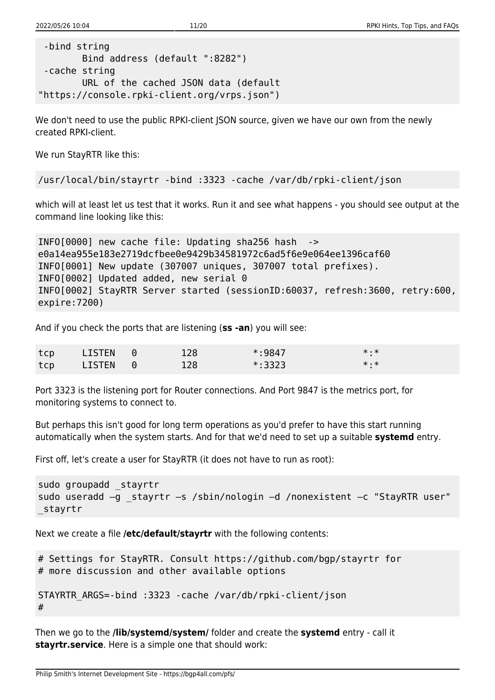```
 -bind string
         Bind address (default ":8282")
 -cache string
         URL of the cached JSON data (default
"https://console.rpki-client.org/vrps.json")
```
We don't need to use the public RPKI-client JSON source, given we have our own from the newly created RPKI-client.

We run StayRTR like this:

```
/usr/local/bin/stayrtr -bind :3323 -cache /var/db/rpki-client/json
```
which will at least let us test that it works. Run it and see what happens - you should see output at the command line looking like this:

 $INFO[0000]$  new cache file: Updating sha256 hash e0a14ea955e183e2719dcfbee0e9429b34581972c6ad5f6e9e064ee1396caf60 INFO[0001] New update (307007 uniques, 307007 total prefixes). INFO[0002] Updated added, new serial 0 INFO[0002] StayRTR Server started (sessionID:60037, refresh:3600, retry:600, expire:7200)

And if you check the ports that are listening (**ss -an**) you will see:

| tcp | LISTEN 0 | 128 | $*:9847$ | $*$ . $*$ |
|-----|----------|-----|----------|-----------|
| tcp | LISTEN 0 | 128 | $*:3323$ | $*$ . $*$ |

Port 3323 is the listening port for Router connections. And Port 9847 is the metrics port, for monitoring systems to connect to.

But perhaps this isn't good for long term operations as you'd prefer to have this start running automatically when the system starts. And for that we'd need to set up a suitable **systemd** entry.

First off, let's create a user for StayRTR (it does not have to run as root):

```
sudo groupadd _stayrtr
sudo useradd -g stayrtr -s /sbin/nologin -d /nonexistent -c "StayRTR user"
_stayrtr
```
Next we create a file **/etc/default/stayrtr** with the following contents:

```
# Settings for StayRTR. Consult https://github.com/bgp/stayrtr for
# more discussion and other available options
STAYRTR_ARGS=-bind :3323 -cache /var/db/rpki-client/json
#
```
Then we go to the **/lib/systemd/system/** folder and create the **systemd** entry - call it **stayrtr.service**. Here is a simple one that should work: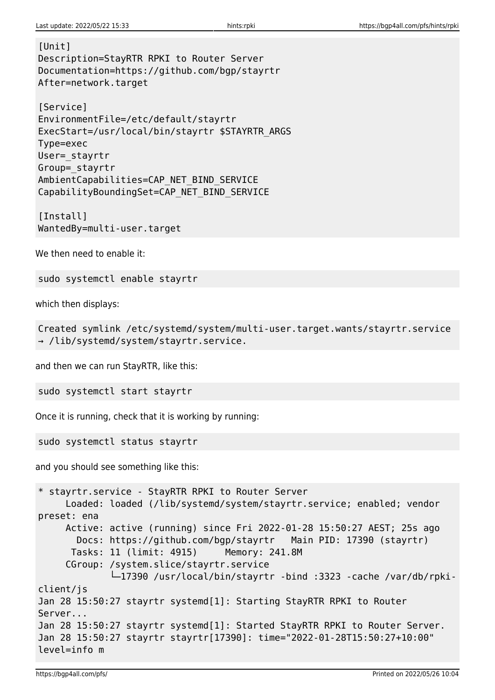[Unit] Description=StayRTR RPKI to Router Server Documentation=https://github.com/bgp/stayrtr After=network.target

[Service] EnvironmentFile=/etc/default/stayrtr ExecStart=/usr/local/bin/stayrtr \$STAYRTR\_ARGS Type=exec User=\_stayrtr Group=\_stayrtr AmbientCapabilities=CAP\_NET\_BIND\_SERVICE CapabilityBoundingSet=CAP\_NET\_BIND\_SERVICE

[Install] WantedBy=multi-user.target

We then need to enable it:

```
sudo systemctl enable stayrtr
```
which then displays:

```
Created symlink /etc/systemd/system/multi-user.target.wants/stayrtr.service
→ /lib/systemd/system/stayrtr.service.
```
and then we can run StayRTR, like this:

```
sudo systemctl start stayrtr
```
Once it is running, check that it is working by running:

sudo systemctl status stayrtr

and you should see something like this:

```
* stayrtr.service - StayRTR RPKI to Router Server
      Loaded: loaded (/lib/systemd/system/stayrtr.service; enabled; vendor
preset: ena
     Active: active (running) since Fri 2022-01-28 15:50:27 AEST; 25s ago
        Docs: https://github.com/bgp/stayrtr Main PID: 17390 (stayrtr)
       Tasks: 11 (limit: 4915) Memory: 241.8M
      CGroup: /system.slice/stayrtr.service
              └─17390 /usr/local/bin/stayrtr -bind :3323 -cache /var/db/rpki-
client/js
Jan 28 15:50:27 stayrtr systemd[1]: Starting StayRTR RPKI to Router
Server...
Jan 28 15:50:27 stayrtr systemd[1]: Started StayRTR RPKI to Router Server.
Jan 28 15:50:27 stayrtr stayrtr[17390]: time="2022-01-28T15:50:27+10:00"
level=info m
```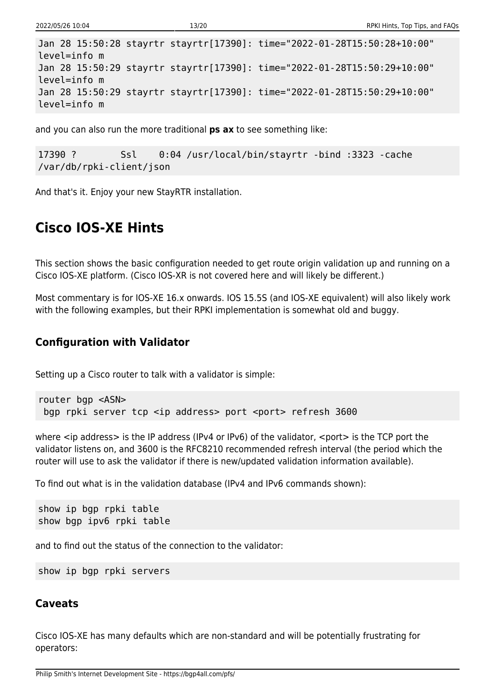```
Jan 28 15:50:28 stayrtr stayrtr[17390]: time="2022-01-28T15:50:28+10:00"
level=info m
Jan 28 15:50:29 stayrtr stayrtr[17390]: time="2022-01-28T15:50:29+10:00"
level=info m
Jan 28 15:50:29 stayrtr stayrtr[17390]: time="2022-01-28T15:50:29+10:00"
level=info m
```
and you can also run the more traditional **ps ax** to see something like:

```
17390 ? Ssl 0:04 /usr/local/bin/stayrtr -bind :3323 -cache
/var/db/rpki-client/json
```
And that's it. Enjoy your new StayRTR installation.

### <span id="page-12-0"></span>**Cisco IOS-XE Hints**

This section shows the basic configuration needed to get route origin validation up and running on a Cisco IOS-XE platform. (Cisco IOS-XR is not covered here and will likely be different.)

Most commentary is for IOS-XE 16.x onwards. IOS 15.5S (and IOS-XE equivalent) will also likely work with the following examples, but their RPKI implementation is somewhat old and buggy.

#### **Configuration with Validator**

Setting up a Cisco router to talk with a validator is simple:

```
router bgp <ASN>
bgp rpki server tcp <ip address> port <port> refresh 3600
```
where <ip address> is the IP address (IPv4 or IPv6) of the validator, <port> is the TCP port the validator listens on, and 3600 is the RFC8210 recommended refresh interval (the period which the router will use to ask the validator if there is new/updated validation information available).

To find out what is in the validation database (IPv4 and IPv6 commands shown):

```
show ip bgp rpki table
show bgp ipv6 rpki table
```
and to find out the status of the connection to the validator:

show ip bgp rpki servers

#### **Caveats**

Cisco IOS-XE has many defaults which are non-standard and will be potentially frustrating for operators: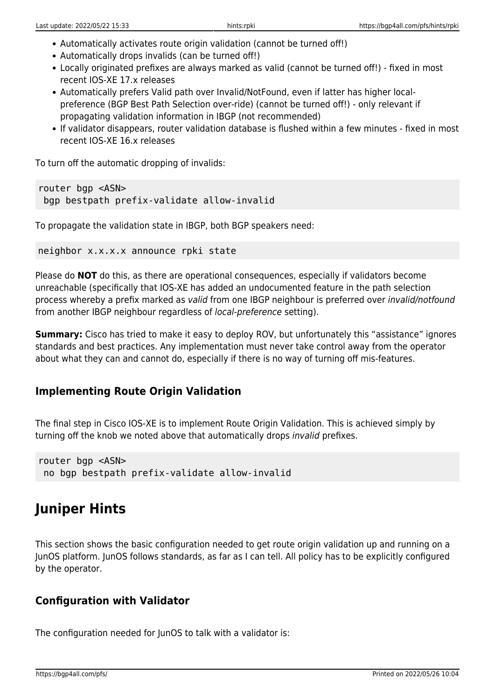- Automatically activates route origin validation (cannot be turned off!)
- Automatically drops invalids (can be turned off!)
- Locally originated prefixes are always marked as valid (cannot be turned off!) fixed in most recent IOS-XE 17.x releases
- Automatically prefers Valid path over Invalid/NotFound, even if latter has higher localpreference (BGP Best Path Selection over-ride) (cannot be turned off!) - only relevant if propagating validation information in IBGP (not recommended)
- If validator disappears, router validation database is flushed within a few minutes fixed in most recent IOS-XE 16.x releases

To turn off the automatic dropping of invalids:

```
router bgp <ASN>
 bgp bestpath prefix-validate allow-invalid
```
To propagate the validation state in IBGP, both BGP speakers need:

```
neighbor x.x.x.x announce rpki state
```
Please do **NOT** do this, as there are operational consequences, especially if validators become unreachable (specifically that IOS-XE has added an undocumented feature in the path selection process whereby a prefix marked as valid from one IBGP neighbour is preferred over invalid/notfound from another IBGP neighbour regardless of local-preference setting).

**Summary:** Cisco has tried to make it easy to deploy ROV, but unfortunately this "assistance" ignores standards and best practices. Any implementation must never take control away from the operator about what they can and cannot do, especially if there is no way of turning off mis-features.

### **Implementing Route Origin Validation**

The final step in Cisco IOS-XE is to implement Route Origin Validation. This is achieved simply by turning off the knob we noted above that automatically drops *invalid* prefixes.

```
router bgp <ASN>
  no bgp bestpath prefix-validate allow-invalid
```
### <span id="page-13-0"></span>**Juniper Hints**

This section shows the basic configuration needed to get route origin validation up and running on a JunOS platform. JunOS follows standards, as far as I can tell. All policy has to be explicitly configured by the operator.

### **Configuration with Validator**

The configuration needed for JunOS to talk with a validator is: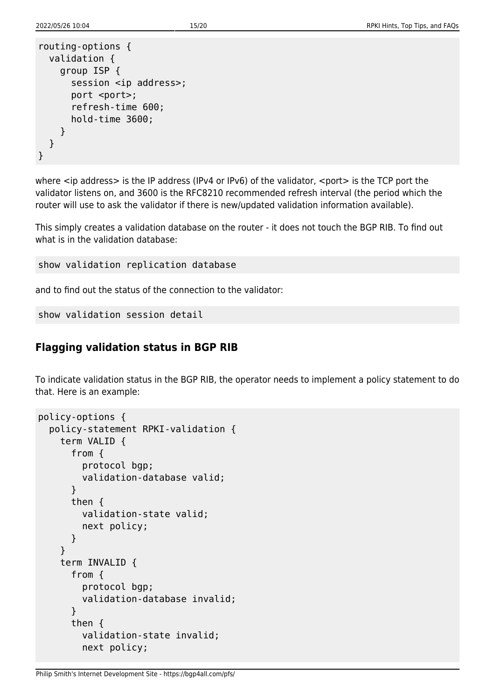```
routing-options {
   validation {
     group ISP {
      session <ip address>;
      port <port>;
       refresh-time 600;
       hold-time 3600;
     }
   }
}
```
where <ip address> is the IP address (IPv4 or IPv6) of the validator, <port> is the TCP port the validator listens on, and 3600 is the RFC8210 recommended refresh interval (the period which the router will use to ask the validator if there is new/updated validation information available).

This simply creates a validation database on the router - it does not touch the BGP RIB. To find out what is in the validation database:

show validation replication database

and to find out the status of the connection to the validator:

show validation session detail

#### **Flagging validation status in BGP RIB**

To indicate validation status in the BGP RIB, the operator needs to implement a policy statement to do that. Here is an example:

```
policy-options {
   policy-statement RPKI-validation {
     term VALID {
       from {
          protocol bgp;
          validation-database valid;
       }
       then {
         validation-state valid;
          next policy;
       }
     }
     term INVALID {
       from {
          protocol bgp;
         validation-database invalid;
       }
       then {
         validation-state invalid;
          next policy;
```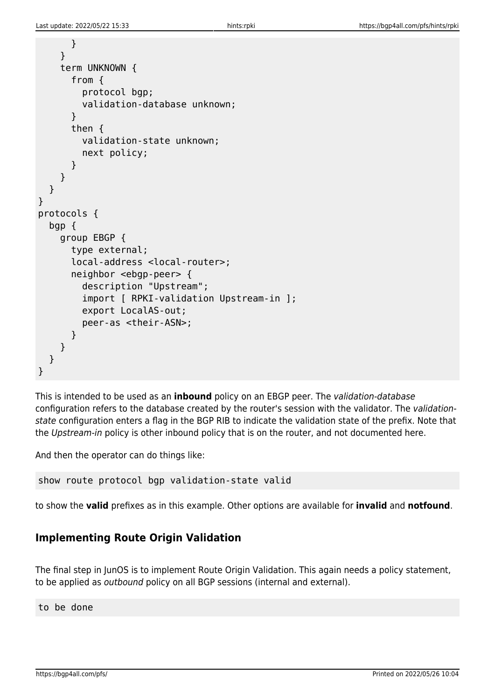```
 }
     }
     term UNKNOWN {
       from {
          protocol bgp;
          validation-database unknown;
       }
       then {
          validation-state unknown;
          next policy;
       }
     }
   }
}
protocols {
  bap {
     group EBGP {
       type external;
       local-address <local-router>;
       neighbor <ebgp-peer> {
          description "Upstream";
          import [ RPKI-validation Upstream-in ];
          export LocalAS-out;
          peer-as <their-ASN>;
       }
     }
   }
}
```
This is intended to be used as an **inbound** policy on an EBGP peer. The validation-database configuration refers to the database created by the router's session with the validator. The validationstate configuration enters a flag in the BGP RIB to indicate the validation state of the prefix. Note that the Upstream-in policy is other inbound policy that is on the router, and not documented here.

And then the operator can do things like:

show route protocol bgp validation-state valid

to show the **valid** prefixes as in this example. Other options are available for **invalid** and **notfound**.

### **Implementing Route Origin Validation**

The final step in JunOS is to implement Route Origin Validation. This again needs a policy statement, to be applied as outbound policy on all BGP sessions (internal and external).

<span id="page-15-0"></span>to be done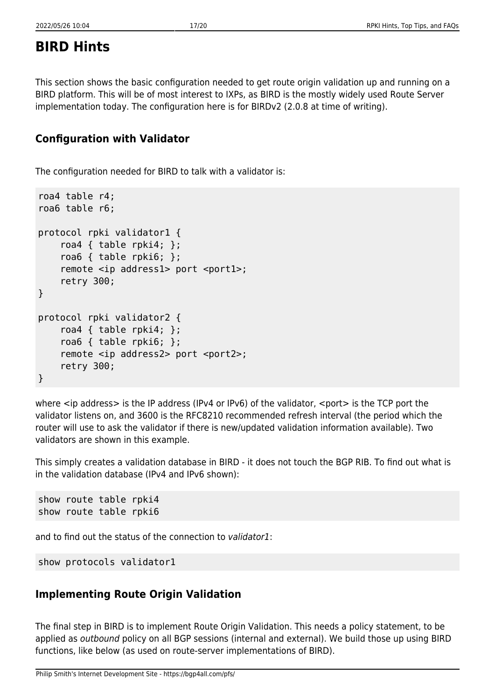### **BIRD Hints**

This section shows the basic configuration needed to get route origin validation up and running on a BIRD platform. This will be of most interest to IXPs, as BIRD is the mostly widely used Route Server implementation today. The configuration here is for BIRDv2 (2.0.8 at time of writing).

### **Configuration with Validator**

The configuration needed for BIRD to talk with a validator is:

```
roa4 table r4;
roa6 table r6;
protocol rpki validator1 {
    roa4 \{ table rpki4; \}; roa6 { table rpki6; };
    remote <ip address1> port <port1>;
     retry 300;
}
protocol rpki validator2 {
    roa4 \{ table rpki4; \};
     roa6 { table rpki6; };
    remote <ip address2> port <port2>;
     retry 300;
}
```
where <ip address> is the IP address (IPv4 or IPv6) of the validator, <port> is the TCP port the validator listens on, and 3600 is the RFC8210 recommended refresh interval (the period which the router will use to ask the validator if there is new/updated validation information available). Two validators are shown in this example.

This simply creates a validation database in BIRD - it does not touch the BGP RIB. To find out what is in the validation database (IPv4 and IPv6 shown):

show route table rpki4 show route table rpki6

and to find out the status of the connection to validator1:

show protocols validator1

### **Implementing Route Origin Validation**

The final step in BIRD is to implement Route Origin Validation. This needs a policy statement, to be applied as outbound policy on all BGP sessions (internal and external). We build those up using BIRD functions, like below (as used on route-server implementations of BIRD).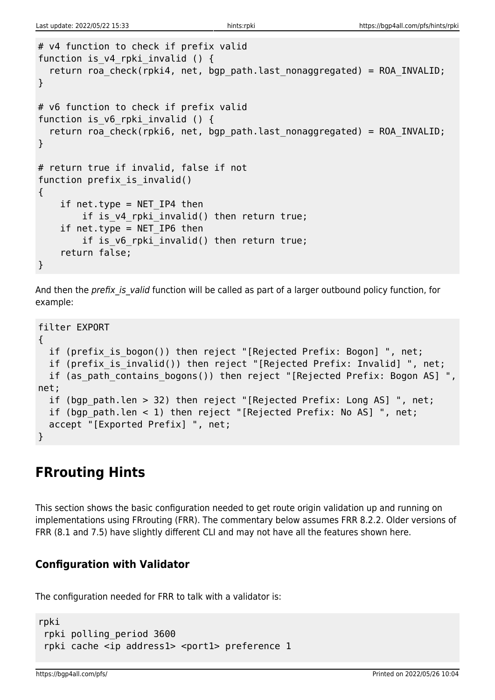```
# v4 function to check if prefix valid
function is_v4_rpki_invalid () {
  return roa check(rpki4, net, bgp path.last nonaggregated) = ROA INVALID;
}
# v6 function to check if prefix valid
function is v6 rpki invalid () {
  return roa check(rpki6, net, bgp path.last nonaggregated) = ROA INVALID;
}
# return true if invalid, false if not
function prefix is invalid()
{
    if net.type = NET IP4 then
        if is v4 rpki invalid() then return true;
    if net.type = NET IP6 then
        if is v6 rpki invalid() then return true;
     return false;
}
```
And then the prefix is valid function will be called as part of a larger outbound policy function, for example:

```
filter EXPORT
{
  if (prefix is bogon()) then reject "[Rejected Prefix: Bogon] ", net;
   if (prefix_is_invalid()) then reject "[Rejected Prefix: Invalid] ", net;
  if (as path contains bogons()) then reject "[Rejected Prefix: Bogon AS] ",
net;
  if (bgp path.len > 32) then reject "[Rejected Prefix: Long AS] ", net;
  if (bgp path.len < 1) then reject "[Rejected Prefix: No AS] ", net;
   accept "[Exported Prefix] ", net;
}
```
# <span id="page-17-0"></span>**FRrouting Hints**

This section shows the basic configuration needed to get route origin validation up and running on implementations using FRrouting (FRR). The commentary below assumes FRR 8.2.2. Older versions of FRR (8.1 and 7.5) have slightly different CLI and may not have all the features shown here.

### **Configuration with Validator**

The configuration needed for FRR to talk with a validator is:

```
rpki
  rpki polling_period 3600
 rpki cache <ip address1> <port1> preference 1
```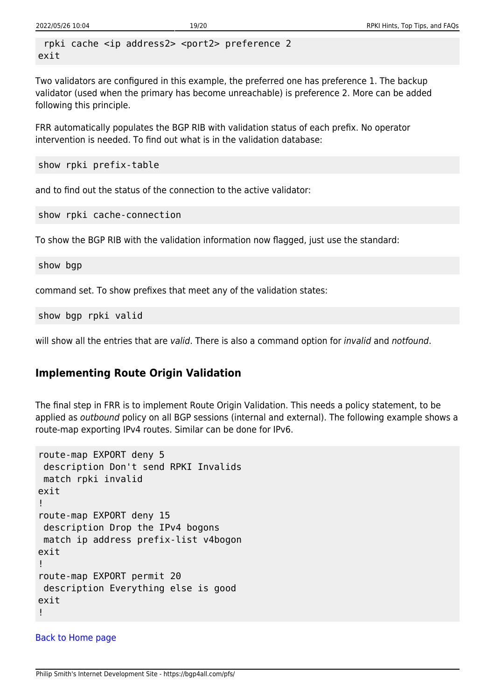```
 rpki cache <ip address2> <port2> preference 2
exit
```
Two validators are configured in this example, the preferred one has preference 1. The backup validator (used when the primary has become unreachable) is preference 2. More can be added following this principle.

FRR automatically populates the BGP RIB with validation status of each prefix. No operator intervention is needed. To find out what is in the validation database:

show rpki prefix-table

and to find out the status of the connection to the active validator:

show rpki cache-connection

To show the BGP RIB with the validation information now flagged, just use the standard:

show bgp

command set. To show prefixes that meet any of the validation states:

show bgp rpki valid

will show all the entries that are valid. There is also a command option for invalid and notfound.

#### **Implementing Route Origin Validation**

The final step in FRR is to implement Route Origin Validation. This needs a policy statement, to be applied as outbound policy on all BGP sessions (internal and external). The following example shows a route-map exporting IPv4 routes. Similar can be done for IPv6.

```
route-map EXPORT deny 5
 description Don't send RPKI Invalids
 match rpki invalid
exit
!
route-map EXPORT deny 15
 description Drop the IPv4 bogons
 match ip address prefix-list v4bogon
exit
!
route-map EXPORT permit 20
 description Everything else is good
exit
!
```
#### [Back to Home page](https://bgp4all.com/pfs/hints/start)